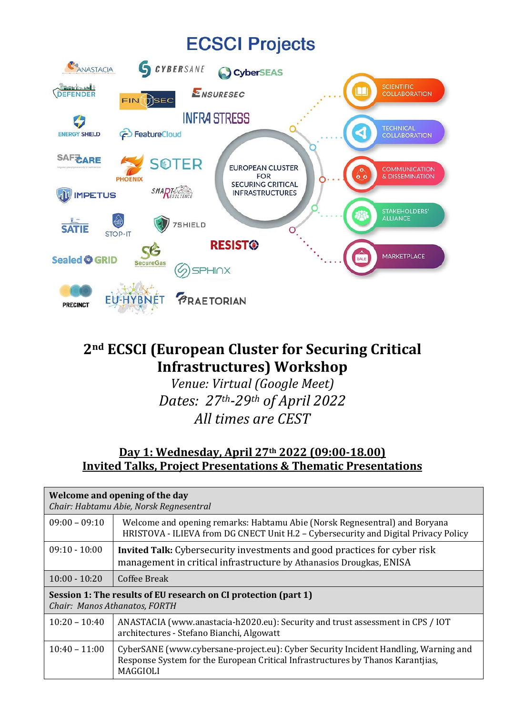# **ECSCI Projects**



# **2nd ECSCI (European Cluster for Securing Critical Infrastructures) Workshop**

*Venue: Virtual (Google Meet) Dates: 27th-29th of April 2022 All times are CEST*

#### **Day 1: Wednesday, April 27th 2022 (09:00-18.00) Invited Talks, Project Presentations & Thematic Presentations**

| Welcome and opening of the day<br>Chair: Habtamu Abie, Norsk Regnesentral                        |                                                                                                                                                                                           |
|--------------------------------------------------------------------------------------------------|-------------------------------------------------------------------------------------------------------------------------------------------------------------------------------------------|
| $09:00 - 09:10$                                                                                  | Welcome and opening remarks: Habtamu Abie (Norsk Regnesentral) and Boryana<br>HRISTOVA - ILIEVA from DG CNECT Unit H.2 – Cybersecurity and Digital Privacy Policy                         |
| $09:10 - 10:00$                                                                                  | <b>Invited Talk:</b> Cybersecurity investments and good practices for cyber risk<br>management in critical infrastructure by Athanasios Drougkas, ENISA                                   |
| $10:00 - 10:20$                                                                                  | Coffee Break                                                                                                                                                                              |
| Session 1: The results of EU research on CI protection (part 1)<br>Chair: Manos Athanatos, FORTH |                                                                                                                                                                                           |
| $10:20 - 10:40$                                                                                  | ANASTACIA (www.anastacia-h2020.eu): Security and trust assessment in CPS / IOT<br>architectures - Stefano Bianchi, Algowatt                                                               |
| $10:40 - 11:00$                                                                                  | CyberSANE (www.cybersane-project.eu): Cyber Security Incident Handling, Warning and<br>Response System for the European Critical Infrastructures by Thanos Karantjias,<br><b>MAGGIOLI</b> |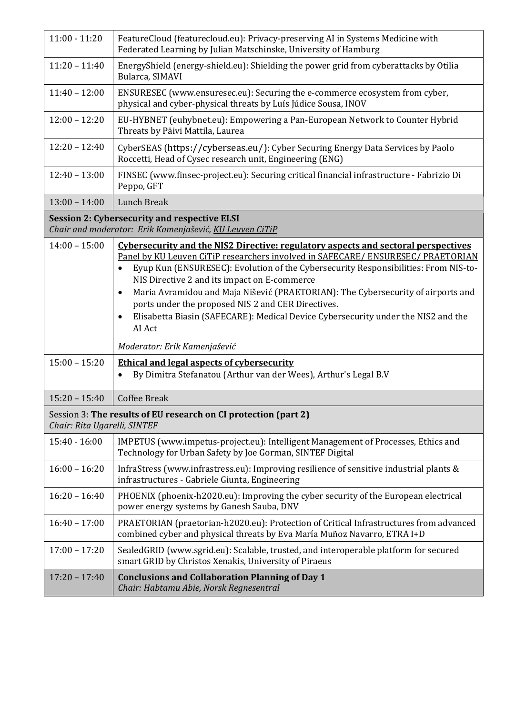| $11:00 - 11:20$                                                                                                | FeatureCloud (featurecloud.eu): Privacy-preserving AI in Systems Medicine with<br>Federated Learning by Julian Matschinske, University of Hamburg                                                                                                                                                                                                                                                                                                                                                                                                                                           |
|----------------------------------------------------------------------------------------------------------------|---------------------------------------------------------------------------------------------------------------------------------------------------------------------------------------------------------------------------------------------------------------------------------------------------------------------------------------------------------------------------------------------------------------------------------------------------------------------------------------------------------------------------------------------------------------------------------------------|
| $11:20 - 11:40$                                                                                                | EnergyShield (energy-shield.eu): Shielding the power grid from cyberattacks by Otilia<br>Bularca, SIMAVI                                                                                                                                                                                                                                                                                                                                                                                                                                                                                    |
| $11:40 - 12:00$                                                                                                | ENSURESEC (www.ensuresec.eu): Securing the e-commerce ecosystem from cyber,<br>physical and cyber-physical threats by Luís Júdice Sousa, INOV                                                                                                                                                                                                                                                                                                                                                                                                                                               |
| $12:00 - 12:20$                                                                                                | EU-HYBNET (euhybnet.eu): Empowering a Pan-European Network to Counter Hybrid<br>Threats by Päivi Mattila, Laurea                                                                                                                                                                                                                                                                                                                                                                                                                                                                            |
| $12:20 - 12:40$                                                                                                | CyberSEAS (https://cyberseas.eu/): Cyber Securing Energy Data Services by Paolo<br>Roccetti, Head of Cysec research unit, Engineering (ENG)                                                                                                                                                                                                                                                                                                                                                                                                                                                 |
| $12:40 - 13:00$                                                                                                | FINSEC (www.finsec-project.eu): Securing critical financial infrastructure - Fabrizio Di<br>Peppo, GFT                                                                                                                                                                                                                                                                                                                                                                                                                                                                                      |
| $13:00 - 14:00$                                                                                                | <b>Lunch Break</b>                                                                                                                                                                                                                                                                                                                                                                                                                                                                                                                                                                          |
| <b>Session 2: Cybersecurity and respective ELSI</b><br>Chair and moderator: Erik Kamenjašević, KU Leuven CiTiP |                                                                                                                                                                                                                                                                                                                                                                                                                                                                                                                                                                                             |
| $14:00 - 15:00$                                                                                                | Cybersecurity and the NIS2 Directive: regulatory aspects and sectoral perspectives<br>Panel by KU Leuven CiTiP researchers involved in SAFECARE/ENSURESEC/PRAETORIAN<br>Eyup Kun (ENSURESEC): Evolution of the Cybersecurity Responsibilities: From NIS-to-<br>$\bullet$<br>NIS Directive 2 and its impact on E-commerce<br>Maria Avramidou and Maja Nišević (PRAETORIAN): The Cybersecurity of airports and<br>$\bullet$<br>ports under the proposed NIS 2 and CER Directives.<br>Elisabetta Biasin (SAFECARE): Medical Device Cybersecurity under the NIS2 and the<br>$\bullet$<br>AI Act |
|                                                                                                                | Moderator: Erik Kamenjašević                                                                                                                                                                                                                                                                                                                                                                                                                                                                                                                                                                |
| $15:00 - 15:20$                                                                                                | <b>Ethical and legal aspects of cybersecurity</b><br>By Dimitra Stefanatou (Arthur van der Wees), Arthur's Legal B.V<br>$\bullet$                                                                                                                                                                                                                                                                                                                                                                                                                                                           |
| $15:20 - 15:40$                                                                                                | <b>Coffee Break</b>                                                                                                                                                                                                                                                                                                                                                                                                                                                                                                                                                                         |
| Session 3: The results of EU research on CI protection (part 2)<br>Chair: Rita Ugarelli, SINTEF                |                                                                                                                                                                                                                                                                                                                                                                                                                                                                                                                                                                                             |
| $15:40 - 16:00$                                                                                                | IMPETUS (www.impetus-project.eu): Intelligent Management of Processes, Ethics and<br>Technology for Urban Safety by Joe Gorman, SINTEF Digital                                                                                                                                                                                                                                                                                                                                                                                                                                              |
| $16:00 - 16:20$                                                                                                | InfraStress (www.infrastress.eu): Improving resilience of sensitive industrial plants &<br>infrastructures - Gabriele Giunta, Engineering                                                                                                                                                                                                                                                                                                                                                                                                                                                   |
| $16:20 - 16:40$                                                                                                | PHOENIX (phoenix-h2020.eu): Improving the cyber security of the European electrical<br>power energy systems by Ganesh Sauba, DNV                                                                                                                                                                                                                                                                                                                                                                                                                                                            |
| $16:40 - 17:00$                                                                                                | PRAETORIAN (praetorian-h2020.eu): Protection of Critical Infrastructures from advanced<br>combined cyber and physical threats by Eva María Muñoz Navarro, ETRA I+D                                                                                                                                                                                                                                                                                                                                                                                                                          |
| $17:00 - 17:20$                                                                                                | SealedGRID (www.sgrid.eu): Scalable, trusted, and interoperable platform for secured<br>smart GRID by Christos Xenakis, University of Piraeus                                                                                                                                                                                                                                                                                                                                                                                                                                               |
| $17:20 - 17:40$                                                                                                | <b>Conclusions and Collaboration Planning of Day 1</b><br>Chair: Habtamu Abie, Norsk Regnesentral                                                                                                                                                                                                                                                                                                                                                                                                                                                                                           |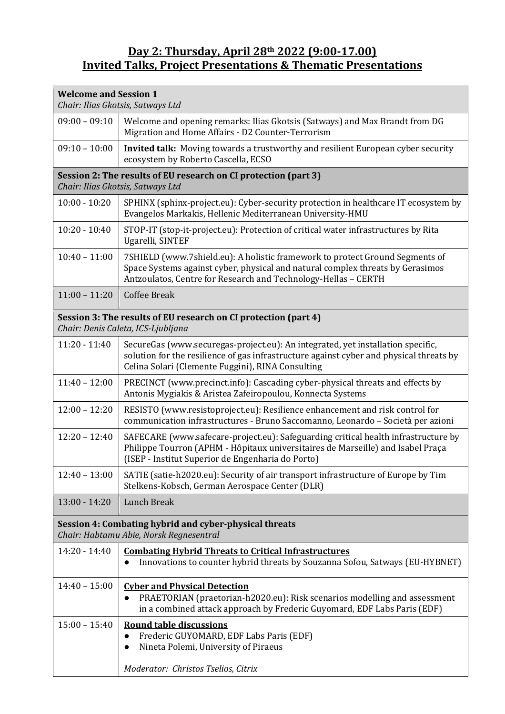#### **Day 2: Thursday, April 28th 2022 (9:00-17.00) Invited Talks, Project Presentations & Thematic Presentations**

| <b>Welcome and Session 1</b><br>Chair: Ilias Gkotsis, Satways Ltd                                     |                                                                                                                                                                                                                                  |
|-------------------------------------------------------------------------------------------------------|----------------------------------------------------------------------------------------------------------------------------------------------------------------------------------------------------------------------------------|
| $09:00 - 09:10$                                                                                       | Welcome and opening remarks: Ilias Gkotsis (Satways) and Max Brandt from DG<br>Migration and Home Affairs - D2 Counter-Terrorism                                                                                                 |
| $09:10 - 10:00$                                                                                       | Invited talk: Moving towards a trustworthy and resilient European cyber security<br>ecosystem by Roberto Cascella, ECSO                                                                                                          |
| Session 2: The results of EU research on CI protection (part 3)<br>Chair: Ilias Gkotsis, Satways Ltd  |                                                                                                                                                                                                                                  |
| $10:00 - 10:20$                                                                                       | SPHINX (sphinx-project.eu): Cyber-security protection in healthcare IT ecosystem by<br>Evangelos Markakis, Hellenic Mediterranean University-HMU                                                                                 |
| $10:20 - 10:40$                                                                                       | STOP-IT (stop-it-project.eu): Protection of critical water infrastructures by Rita<br>Ugarelli, SINTEF                                                                                                                           |
| $10:40 - 11:00$                                                                                       | 7SHIELD (www.7shield.eu): A holistic framework to protect Ground Segments of<br>Space Systems against cyber, physical and natural complex threats by Gerasimos<br>Antzoulatos, Centre for Research and Technology-Hellas - CERTH |
| $11:00 - 11:20$                                                                                       | <b>Coffee Break</b>                                                                                                                                                                                                              |
| Session 3: The results of EU research on CI protection (part 4)<br>Chair: Denis Caleta, ICS-Ljubljana |                                                                                                                                                                                                                                  |
| $11:20 - 11:40$                                                                                       | SecureGas (www.securegas-project.eu): An integrated, yet installation specific,<br>solution for the resilience of gas infrastructure against cyber and physical threats by<br>Celina Solari (Clemente Fuggini), RINA Consulting  |
| $11:40 - 12:00$                                                                                       | PRECINCT (www.precinct.info): Cascading cyber-physical threats and effects by<br>Antonis Mygiakis & Aristea Zafeiropoulou, Konnecta Systems                                                                                      |
| $12:00 - 12:20$                                                                                       | RESISTO (www.resistoproject.eu): Resilience enhancement and risk control for<br>communication infrastructures - Bruno Saccomanno, Leonardo - Società per azioni                                                                  |
| $12:20 - 12:40$                                                                                       | SAFECARE (www.safecare-project.eu): Safeguarding critical health infrastructure by<br>Philippe Tourron (APHM - Hôpitaux universitaires de Marseille) and Isabel Praça<br>(ISEP - Institut Superior de Engenharia do Porto)       |
| $12:40 - 13:00$                                                                                       | SATIE (satie-h2020.eu): Security of air transport infrastructure of Europe by Tim<br>Stelkens-Kobsch, German Aerospace Center (DLR)                                                                                              |
| $13:00 - 14:20$                                                                                       | <b>Lunch Break</b>                                                                                                                                                                                                               |

### **Session 4: Combating hybrid and cyber-physical threats**

*Chair: Habtamu Abie, Norsk Regnesentral*

| $14:20 - 14:40$ | <b>Combating Hybrid Threats to Critical Infrastructures</b><br>Innovations to counter hybrid threats by Souzanna Sofou, Satways (EU-HYBNET)                                                  |
|-----------------|----------------------------------------------------------------------------------------------------------------------------------------------------------------------------------------------|
| $14:40 - 15:00$ | <b>Cyber and Physical Detection</b><br>PRAETORIAN (praetorian-h2020.eu): Risk scenarios modelling and assessment<br>in a combined attack approach by Frederic Guyomard, EDF Labs Paris (EDF) |
| $15:00 - 15:40$ | <b>Round table discussions</b><br>Frederic GUYOMARD, EDF Labs Paris (EDF)<br>Nineta Polemi, University of Piraeus<br>Moderator: Christos Tselios, Citrix                                     |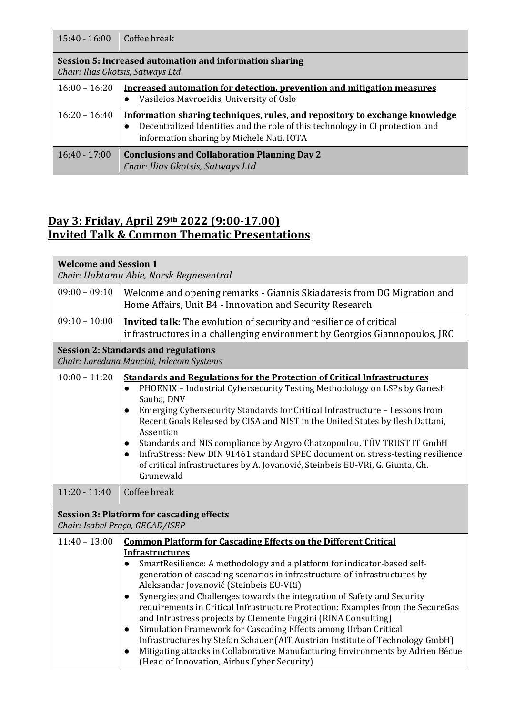| $15:40 - 16:00$                                                                              | Coffee break                                                                                                                                                                                                           |
|----------------------------------------------------------------------------------------------|------------------------------------------------------------------------------------------------------------------------------------------------------------------------------------------------------------------------|
| Session 5: Increased automation and information sharing<br>Chair: Ilias Gkotsis, Satways Ltd |                                                                                                                                                                                                                        |
| $16:00 - 16:20$                                                                              | Increased automation for detection, prevention and mitigation measures<br>Vasileios Mavroeidis, University of Oslo                                                                                                     |
| $16:20 - 16:40$                                                                              | Information sharing techniques, rules, and repository to exchange knowledge<br>Decentralized Identities and the role of this technology in CI protection and<br>$\bullet$<br>information sharing by Michele Nati, IOTA |
| $16:40 - 17:00$                                                                              | <b>Conclusions and Collaboration Planning Day 2</b><br>Chair: Ilias Gkotsis, Satways Ltd                                                                                                                               |

## **Day 3: Friday, April 29th 2022 (9:00-17.00) Invited Talk & Common Thematic Presentations**

| <b>Welcome and Session 1</b><br>Chair: Habtamu Abie, Norsk Regnesentral                 |                                                                                                                                                                                                                                                                                                                                                                                                                                                                                                                                                                                                                                                                      |
|-----------------------------------------------------------------------------------------|----------------------------------------------------------------------------------------------------------------------------------------------------------------------------------------------------------------------------------------------------------------------------------------------------------------------------------------------------------------------------------------------------------------------------------------------------------------------------------------------------------------------------------------------------------------------------------------------------------------------------------------------------------------------|
| $09:00 - 09:10$                                                                         | Welcome and opening remarks - Giannis Skiadaresis from DG Migration and<br>Home Affairs, Unit B4 - Innovation and Security Research                                                                                                                                                                                                                                                                                                                                                                                                                                                                                                                                  |
| $09:10 - 10:00$                                                                         | <b>Invited talk:</b> The evolution of security and resilience of critical<br>infrastructures in a challenging environment by Georgios Giannopoulos, JRC                                                                                                                                                                                                                                                                                                                                                                                                                                                                                                              |
| <b>Session 2: Standards and regulations</b><br>Chair: Loredana Mancini, Inlecom Systems |                                                                                                                                                                                                                                                                                                                                                                                                                                                                                                                                                                                                                                                                      |
| $10:00 - 11:20$                                                                         | <b>Standards and Regulations for the Protection of Critical Infrastructures</b><br>PHOENIX - Industrial Cybersecurity Testing Methodology on LSPs by Ganesh<br>$\bullet$<br>Sauba, DNV<br>Emerging Cybersecurity Standards for Critical Infrastructure - Lessons from<br>$\bullet$<br>Recent Goals Released by CISA and NIST in the United States by Ilesh Dattani,<br>Assentian<br>Standards and NIS compliance by Argyro Chatzopoulou, TÜV TRUST IT GmbH<br>$\bullet$<br>InfraStress: New DIN 91461 standard SPEC document on stress-testing resilience<br>$\bullet$<br>of critical infrastructures by A. Jovanović, Steinbeis EU-VRi, G. Giunta, Ch.<br>Grunewald |
| $11:20 - 11:40$                                                                         | Coffee break                                                                                                                                                                                                                                                                                                                                                                                                                                                                                                                                                                                                                                                         |
| <b>Session 3: Platform for cascading effects</b><br>Chair: Isabel Praça, GECAD/ISEP     |                                                                                                                                                                                                                                                                                                                                                                                                                                                                                                                                                                                                                                                                      |

| $11:40 - 13:00$ | <b>Common Platform for Cascading Effects on the Different Critical</b><br><b>Infrastructures</b>                                                                                                                                                                                                                                                                                                                                                                                                                                                                                                                                                                                                                                               |
|-----------------|------------------------------------------------------------------------------------------------------------------------------------------------------------------------------------------------------------------------------------------------------------------------------------------------------------------------------------------------------------------------------------------------------------------------------------------------------------------------------------------------------------------------------------------------------------------------------------------------------------------------------------------------------------------------------------------------------------------------------------------------|
|                 | SmartResilience: A methodology and a platform for indicator-based self-<br>generation of cascading scenarios in infrastructure-of-infrastructures by<br>Aleksandar Jovanović (Steinbeis EU-VRi)<br>Synergies and Challenges towards the integration of Safety and Security<br>requirements in Critical Infrastructure Protection: Examples from the SecureGas<br>and Infrastress projects by Clemente Fuggini (RINA Consulting)<br>Simulation Framework for Cascading Effects among Urban Critical<br>$\bullet$<br>Infrastructures by Stefan Schauer (AIT Austrian Institute of Technology GmbH)<br>Mitigating attacks in Collaborative Manufacturing Environments by Adrien Bécue<br>$\bullet$<br>(Head of Innovation, Airbus Cyber Security) |